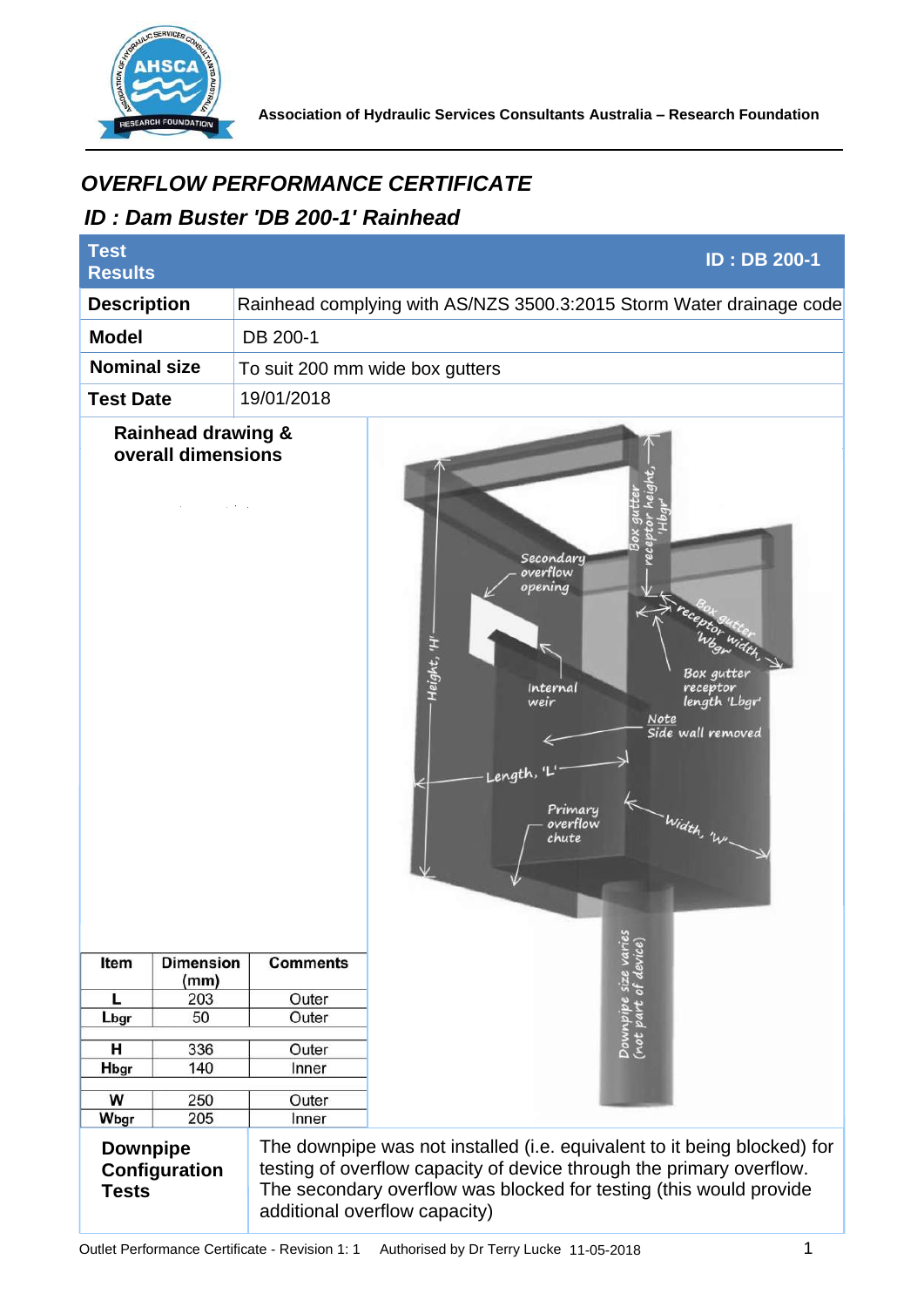

**Association of Hydraulic Services Consultants Australia – Research Foundation** 

## *ID : Dam Buster 'DB 200-1' Rainhead*

| <b>OVERFLOW PERFORMANCE CERTIFICATE</b><br>ID: Dam Buster 'DB 200-1' Rainhead |                          |                 |                                                                                                                                                                                                                                                         |
|-------------------------------------------------------------------------------|--------------------------|-----------------|---------------------------------------------------------------------------------------------------------------------------------------------------------------------------------------------------------------------------------------------------------|
| <b>Test</b><br><b>ID: DB 200-1</b><br><b>Results</b>                          |                          |                 |                                                                                                                                                                                                                                                         |
| <b>Description</b>                                                            |                          |                 | Rainhead complying with AS/NZS 3500.3:2015 Storm Water drainage code                                                                                                                                                                                    |
| <b>Model</b>                                                                  |                          | DB 200-1        |                                                                                                                                                                                                                                                         |
| <b>Nominal size</b><br>To suit 200 mm wide box gutters                        |                          |                 |                                                                                                                                                                                                                                                         |
| 19/01/2018<br><b>Test Date</b>                                                |                          |                 |                                                                                                                                                                                                                                                         |
| <b>Rainhead drawing &amp;</b><br>overall dimensions                           |                          |                 | Secondary<br>overflow<br>opening<br>Height, 'H'<br>Box qutter<br>Internal<br>receptor<br>length 'Lbgr'<br>weir<br><b>Note</b><br>Side wall removed<br>Length,<br>Primary<br>- Width, 'WI<br>overflow<br>chute<br>V                                      |
| Item                                                                          | <b>Dimension</b><br>(mm) | <b>Comments</b> | Downpipe size varies<br>(not part of device)                                                                                                                                                                                                            |
| L                                                                             | 203                      | Outer           |                                                                                                                                                                                                                                                         |
| Lbgr                                                                          | 50                       | Outer           |                                                                                                                                                                                                                                                         |
| н                                                                             | 336                      | Outer           |                                                                                                                                                                                                                                                         |
| Hbgr                                                                          | 140                      | Inner           |                                                                                                                                                                                                                                                         |
| W                                                                             | 250                      | Outer           |                                                                                                                                                                                                                                                         |
| Wbgr                                                                          | 205                      | Inner           |                                                                                                                                                                                                                                                         |
| <b>Downpipe</b><br>Configuration<br><b>Tests</b>                              |                          |                 | The downpipe was not installed (i.e. equivalent to it being blocked) for<br>testing of overflow capacity of device through the primary overflow.<br>The secondary overflow was blocked for testing (this would provide<br>additional overflow capacity) |